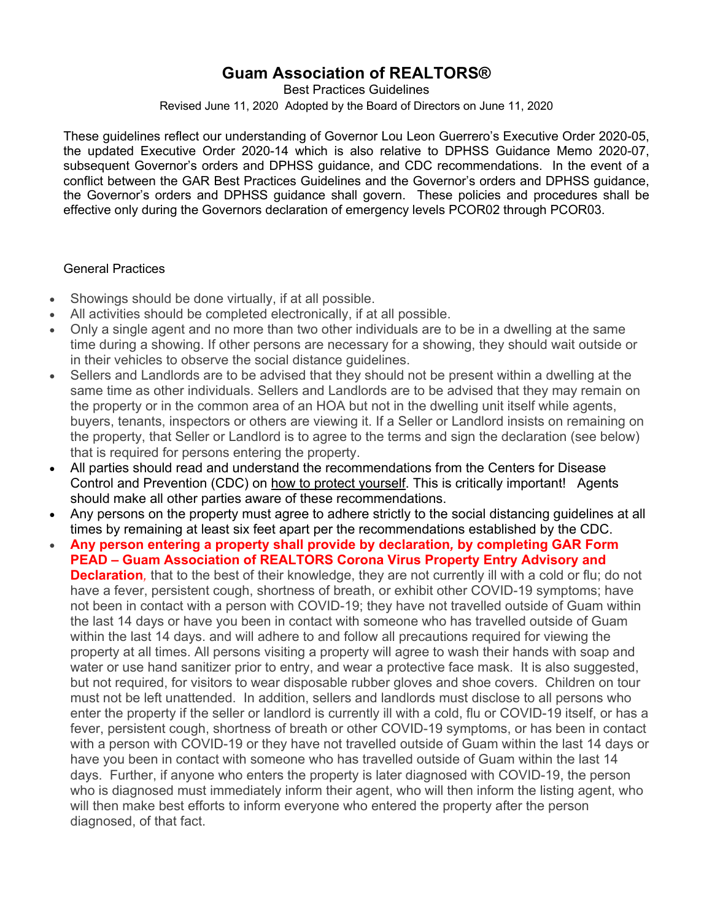# **Guam Association of REALTORS®**

Best Practices Guidelines Revised June 11, 2020 Adopted by the Board of Directors on June 11, 2020

These guidelines reflect our understanding of Governor Lou Leon Guerrero's Executive Order 2020-05, the updated Executive Order 2020-14 which is also relative to DPHSS Guidance Memo 2020-07, subsequent Governor's orders and DPHSS guidance, and CDC recommendations. In the event of a conflict between the GAR Best Practices Guidelines and the Governor's orders and DPHSS guidance, the Governor's orders and DPHSS guidance shall govern. These policies and procedures shall be effective only during the Governors declaration of emergency levels PCOR02 through PCOR03.

#### General Practices

- Showings should be done virtually, if at all possible.
- All activities should be completed electronically, if at all possible.
- Only a single agent and no more than two other individuals are to be in a dwelling at the same time during a showing. If other persons are necessary for a showing, they should wait outside or in their vehicles to observe the social distance guidelines.
- Sellers and Landlords are to be advised that they should not be present within a dwelling at the same time as other individuals. Sellers and Landlords are to be advised that they may remain on the property or in the common area of an HOA but not in the dwelling unit itself while agents, buyers, tenants, inspectors or others are viewing it. If a Seller or Landlord insists on remaining on the property, that Seller or Landlord is to agree to the terms and sign the declaration (see below) that is required for persons entering the property.
- All parties should read and understand the recommendations from the Centers for Disease Control and Prevention (CDC) on how to protect yourself. This is critically important! Agents should make all other parties aware of these recommendations.
- Any persons on the property must agree to adhere strictly to the social distancing guidelines at all times by remaining at least six feet apart per the recommendations established by the CDC.
- **Any person entering a property shall provide by declaration***,* **by completing GAR Form PEAD – Guam Association of REALTORS Corona Virus Property Entry Advisory and Declaration**, that to the best of their knowledge, they are not currently ill with a cold or flu; do not have a fever, persistent cough, shortness of breath, or exhibit other COVID-19 symptoms; have not been in contact with a person with COVID-19; they have not travelled outside of Guam within the last 14 days or have you been in contact with someone who has travelled outside of Guam within the last 14 days. and will adhere to and follow all precautions required for viewing the property at all times. All persons visiting a property will agree to wash their hands with soap and water or use hand sanitizer prior to entry, and wear a protective face mask. It is also suggested, but not required, for visitors to wear disposable rubber gloves and shoe covers. Children on tour must not be left unattended. In addition, sellers and landlords must disclose to all persons who enter the property if the seller or landlord is currently ill with a cold, flu or COVID-19 itself, or has a fever, persistent cough, shortness of breath or other COVID-19 symptoms, or has been in contact with a person with COVID-19 or they have not travelled outside of Guam within the last 14 days or have you been in contact with someone who has travelled outside of Guam within the last 14 days. Further, if anyone who enters the property is later diagnosed with COVID-19, the person who is diagnosed must immediately inform their agent, who will then inform the listing agent, who will then make best efforts to inform everyone who entered the property after the person diagnosed, of that fact.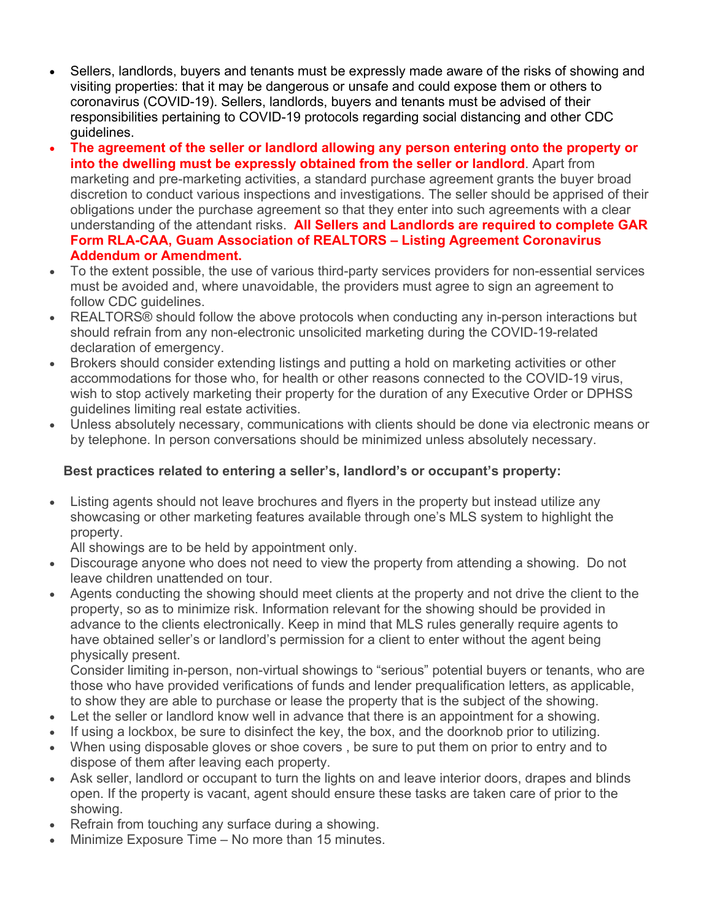- Sellers, landlords, buyers and tenants must be expressly made aware of the risks of showing and visiting properties: that it may be dangerous or unsafe and could expose them or others to coronavirus (COVID-19). Sellers, landlords, buyers and tenants must be advised of their responsibilities pertaining to COVID-19 protocols regarding social distancing and other CDC guidelines.
- **The agreement of the seller or landlord allowing any person entering onto the property or into the dwelling must be expressly obtained from the seller or landlord**. Apart from marketing and pre-marketing activities, a standard purchase agreement grants the buyer broad discretion to conduct various inspections and investigations. The seller should be apprised of their obligations under the purchase agreement so that they enter into such agreements with a clear understanding of the attendant risks. **All Sellers and Landlords are required to complete GAR Form RLA-CAA, Guam Association of REALTORS – Listing Agreement Coronavirus Addendum or Amendment.**
- To the extent possible, the use of various third-party services providers for non-essential services must be avoided and, where unavoidable, the providers must agree to sign an agreement to follow CDC guidelines.
- REALTORS® should follow the above protocols when conducting any in-person interactions but should refrain from any non-electronic unsolicited marketing during the COVID-19-related declaration of emergency.
- Brokers should consider extending listings and putting a hold on marketing activities or other accommodations for those who, for health or other reasons connected to the COVID-19 virus, wish to stop actively marketing their property for the duration of any Executive Order or DPHSS guidelines limiting real estate activities.
- Unless absolutely necessary, communications with clients should be done via electronic means or by telephone. In person conversations should be minimized unless absolutely necessary.

### **Best practices related to entering a seller's, landlord's or occupant's property:**

• Listing agents should not leave brochures and flyers in the property but instead utilize any showcasing or other marketing features available through one's MLS system to highlight the property.

All showings are to be held by appointment only.

- Discourage anyone who does not need to view the property from attending a showing. Do not leave children unattended on tour.
- Agents conducting the showing should meet clients at the property and not drive the client to the property, so as to minimize risk. Information relevant for the showing should be provided in advance to the clients electronically. Keep in mind that MLS rules generally require agents to have obtained seller's or landlord's permission for a client to enter without the agent being physically present.

Consider limiting in-person, non-virtual showings to "serious" potential buyers or tenants, who are those who have provided verifications of funds and lender prequalification letters, as applicable, to show they are able to purchase or lease the property that is the subject of the showing.

- Let the seller or landlord know well in advance that there is an appointment for a showing.
- If using a lockbox, be sure to disinfect the key, the box, and the doorknob prior to utilizing.
- When using disposable gloves or shoe covers, be sure to put them on prior to entry and to dispose of them after leaving each property.
- Ask seller, landlord or occupant to turn the lights on and leave interior doors, drapes and blinds open. If the property is vacant, agent should ensure these tasks are taken care of prior to the showing.
- Refrain from touching any surface during a showing.
- Minimize Exposure Time No more than 15 minutes.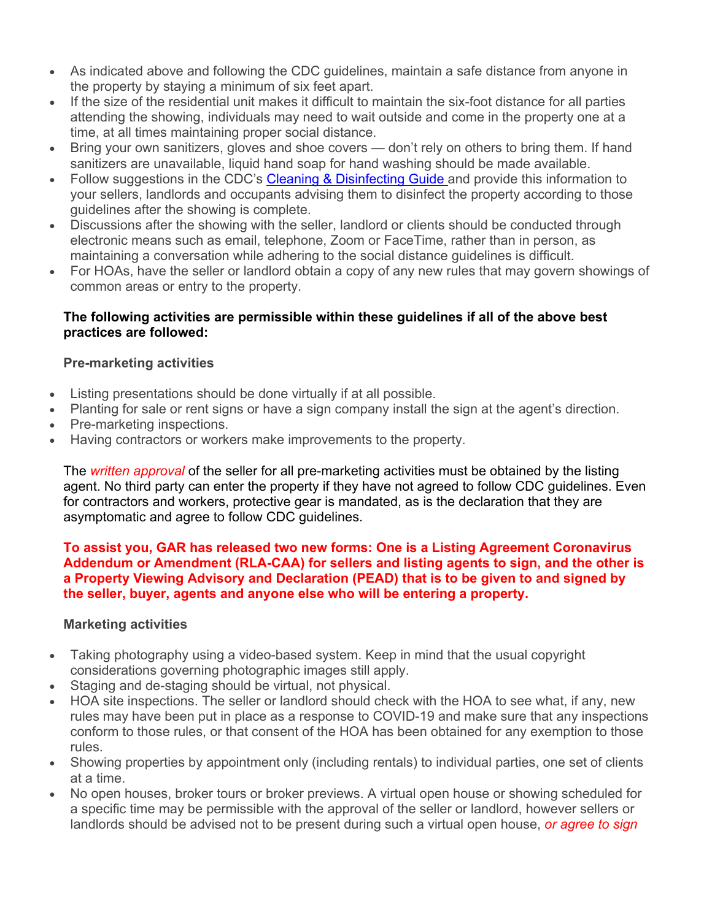- As indicated above and following the CDC guidelines, maintain a safe distance from anyone in the property by staying a minimum of six feet apart.
- If the size of the residential unit makes it difficult to maintain the six-foot distance for all parties attending the showing, individuals may need to wait outside and come in the property one at a time, at all times maintaining proper social distance.
- Bring your own sanitizers, gloves and shoe covers don't rely on others to bring them. If hand sanitizers are unavailable, liquid hand soap for hand washing should be made available.
- Follow suggestions in the CDC's Cleaning & Disinfecting Guide and provide this information to your sellers, landlords and occupants advising them to disinfect the property according to those guidelines after the showing is complete.
- Discussions after the showing with the seller, landlord or clients should be conducted through electronic means such as email, telephone, Zoom or FaceTime, rather than in person, as maintaining a conversation while adhering to the social distance guidelines is difficult.
- For HOAs, have the seller or landlord obtain a copy of any new rules that may govern showings of common areas or entry to the property.

#### **The following activities are permissible within these guidelines if all of the above best practices are followed:**

## **Pre-marketing activities**

- Listing presentations should be done virtually if at all possible.
- Planting for sale or rent signs or have a sign company install the sign at the agent's direction.
- Pre-marketing inspections.
- Having contractors or workers make improvements to the property.

The *written approval* of the seller for all pre-marketing activities must be obtained by the listing agent. No third party can enter the property if they have not agreed to follow CDC guidelines. Even for contractors and workers, protective gear is mandated, as is the declaration that they are asymptomatic and agree to follow CDC guidelines.

#### **To assist you, GAR has released two new forms: One is a Listing Agreement Coronavirus Addendum or Amendment (RLA-CAA) for sellers and listing agents to sign, and the other is a Property Viewing Advisory and Declaration (PEAD) that is to be given to and signed by the seller, buyer, agents and anyone else who will be entering a property.**

### **Marketing activities**

- Taking photography using a video-based system. Keep in mind that the usual copyright considerations governing photographic images still apply.
- Staging and de-staging should be virtual, not physical.
- HOA site inspections. The seller or landlord should check with the HOA to see what, if any, new rules may have been put in place as a response to COVID-19 and make sure that any inspections conform to those rules, or that consent of the HOA has been obtained for any exemption to those rules.
- Showing properties by appointment only (including rentals) to individual parties, one set of clients at a time.
- No open houses, broker tours or broker previews. A virtual open house or showing scheduled for a specific time may be permissible with the approval of the seller or landlord, however sellers or landlords should be advised not to be present during such a virtual open house, *or agree to sign*